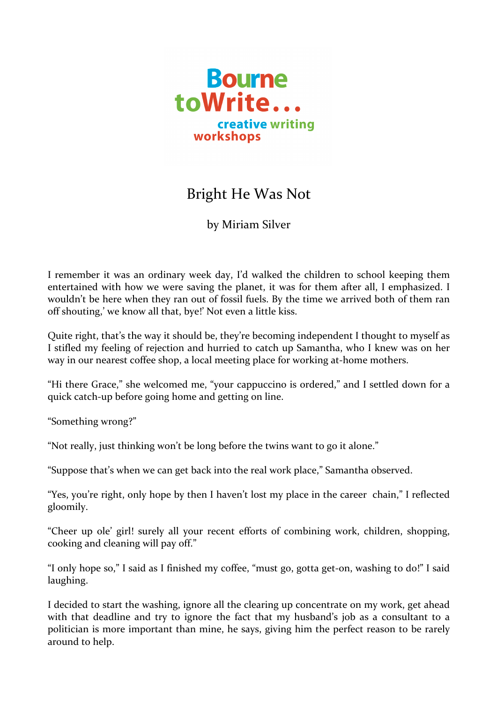

## Bright He Was Not

by Miriam Silver

I remember it was an ordinary week day, I'd walked the children to school keeping them entertained with how we were saving the planet, it was for them after all, I emphasized. I wouldn't be here when they ran out of fossil fuels. By the time we arrived both of them ran off shouting,' we know all that, bye!' Not even a little kiss.

Quite right, that's the way it should be, they're becoming independent I thought to myself as I stifled my feeling of rejection and hurried to catch up Samantha, who I knew was on her way in our nearest coffee shop, a local meeting place for working at-home mothers.

"Hi there Grace," she welcomed me, "your cappuccino is ordered," and I settled down for a quick catch-up before going home and getting on line.

"Something wrong?"

"Not really, just thinking won't be long before the twins want to go it alone."

"Suppose that's when we can get back into the real work place," Samantha observed.

"Yes, you're right, only hope by then I haven't lost my place in the career chain," I reflected gloomily.

"Cheer up ole' girl! surely all your recent efforts of combining work, children, shopping, cooking and cleaning will pay off."

"I only hope so," I said as I finished my coffee, "must go, gotta get-on, washing to do!" I said laughing.

I decided to start the washing, ignore all the clearing up concentrate on my work, get ahead with that deadline and try to ignore the fact that my husband's job as a consultant to a politician is more important than mine, he says, giving him the perfect reason to be rarely around to help.